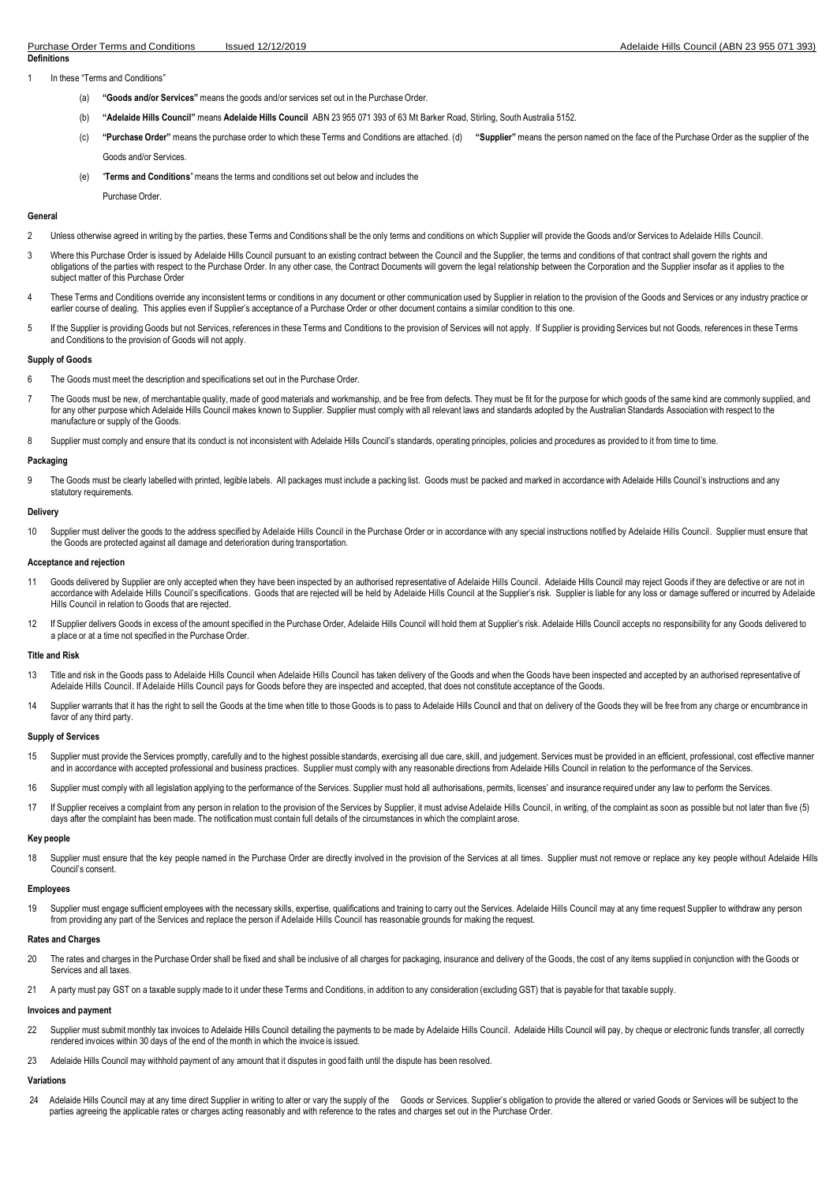In these "Terms and Conditions"

- (a) **"Goods and/or Services"** means the goods and/or services set out in the Purchase Order.
- (b) **"Adelaide Hills Council"** means **Adelaide Hills Council** ABN 23 955 071 393 of 63 Mt Barker Road, Stirling, South Australia 5152.
- (c) "Purchase Order" means the purchase order to which these Terms and Conditions are attached. (d) "Supplier" means the person named on the face of the Purchase Order as the supplier of the Goods and/or Services.
- (e) "**Terms and Conditions**"means the terms and conditions set out below and includes the

Purchase Order.

## **General**

- 2 Unless otherwise agreed in writing by the parties, these Terms and Conditions shall be the only terms and conditions on which Supplier will provide the Goods and/or Services to Adelaide Hills Council.
- 3 Where this Purchase Order is issued by Adelaide Hills Council pursuant to an existing contract between the Council and the Supplier, the terms and conditions of that contract shall govern the rights and obligations of the parties with respect to the Purchase Order. In any other case, the Contract Documents will govern the legal relationship between the Corporation and the Supplier insofar as it applies to the subject matter of this Purchase Order
- 4 These Terms and Conditions override any inconsistent terms or conditions in any document or other communication used by Supplier in relation to the provision of the Goods and Services or any industry practice or earlier course of dealing. This applies even if Supplier's acceptance of a Purchase Order or other document contains a similar condition to this one.
- 5 If the Supplier is providing Goods but not Services, references in these Terms and Conditions to the provision of Services will not apply. If Supplier is providing Services but not Goods, references in these Terms and Conditions to the provision of Goods will not apply.

## **Supply of Goods**

- 6 The Goods must meet the description and specifications set out in the Purchase Order.
- 7 The Goods must be new, of merchantable quality, made of good materials and workmanship, and be free from defects. They must be fit for the purpose for which goods of the same kind are commonly supplied, and for any other purpose which Adelaide Hills Council makes known to Supplier. Supplier must comply with all relevant laws and standards adopted by the Australian Standards Association with respect to the manufacture or supply of the Goods.
- 8 Supplier must comply and ensure that its conduct is not inconsistent with Adelaide Hills Council's standards, operating principles, policies and procedures as provided to it from time to time.

## **Packaging**

9 The Goods must be clearly labelled with printed, legible labels. All packages must include a packing list. Goods must be packed and marked in accordance with Adelaide Hills Council's instructions and any statutory requirements.

# **Delivery**

10 Supplier must deliver the goods to the address specified by Adelaide Hills Council in the Purchase Order or in accordance with any special instructions notified by Adelaide Hills Council. Supplier must ensure that the Goods are protected against all damage and deterioration during transportation.

## **Acceptance and rejection**

- 11 Goods delivered by Supplier are only accepted when they have been inspected by an authorised representative of Adelaide Hills Council. Adelaide Hills Council may reject Goods if they are defective or are not in accordance with Adelaide Hills Council's specifications. Goods that are rejected will be held by Adelaide Hills Council at the Supplier's risk. Supplier is liable for any loss or damage suffered or incurred by Adelaide Hills Council in relation to Goods that are rejected.
- 12 If Supplier delivers Goods in excess of the amount specified in the Purchase Order, Adelaide Hills Council will hold them at Supplier's risk. Adelaide Hills Council accepts no responsibility for any Goods delivered to a place or at a time not specified in the Purchase Order.

## **Title and Risk**

- 13 Title and risk in the Goods pass to Adelaide Hills Council when Adelaide Hills Council has taken delivery of the Goods and when the Goods have been inspected and accepted by an authorised representative of Adelaide Hills Council. If Adelaide Hills Council pays for Goods before they are inspected and accepted, that does not constitute acceptance of the Goods.
- Supplier warrants that it has the right to sell the Goods at the time when title to those Goods is to pass to Adelaide Hills Council and that on delivery of the Goods they will be free from any charge or encumbrance in favor of any third party.

## **Supply of Services**

- 15 Supplier must provide the Services promptly, carefully and to the highest possible standards, exercising all due care, skill, and judgement. Services must be provided in an efficient, professional, cost effective manner and in accordance with accepted professional and business practices. Supplier must comply with any reasonable directions from Adelaide Hills Council in relation to the performance of the Services.
- 16 Supplier must comply with all legislation applying to the performance of the Services. Supplier must hold all authorisations, permits, licenses' and insurance required under any law to perform the Services.
- 17 If Supplier receives a complaint from any person in relation to the provision of the Services by Supplier, it must advise Adelaide Hills Council, in writing, of the complaint as soon as possible but not later than five days after the complaint has been made. The notification must contain full details of the circumstances in which the complaint arose

## **Key people**

18 Supplier must ensure that the key people named in the Purchase Order are directly involved in the provision of the Services at all times. Supplier must not remove or replace any key people without Adelaide Hills Council's consent.

## **Employees**

19 Supplier must engage sufficient employees with the necessary skills, expertise, qualifications and training to carry out the Services. Adelaide Hills Council may at any time request Supplier to withdraw any person from providing any part of the Services and replace the person if Adelaide Hills Council has reasonable grounds for making the request.

## **Rates and Charges**

- 20 The rates and charges in the Purchase Order shall be fixed and shall be inclusive of all charges for packaging, insurance and delivery of the Goods, the cost of any items supplied in conjunction with the Goods or Services and all taxes.
- 21 A party must pay GST on a taxable supply made to it under these Terms and Conditions, in addition to any consideration (excluding GST) that is payable for that taxable supply.

# **Invoices and payment**

- 22 Supplier must submit monthly tax invoices to Adelaide Hills Council detailing the payments to be made by Adelaide Hills Council. Adelaide Hills Council will pay, by cheque or electronic funds transfer, all correctly rendered invoices within 30 days of the end of the month in which the invoice is issued.
- 23 Adelaide Hills Council may withhold payment of any amount that it disputes in good faith until the dispute has been resolved.

# **Variations**

24 Adelaide Hills Council may at any time direct Supplier in writing to alter or vary the supply of the Goods or Services. Supplier's obligation to provide the altered or varied Goods or Services will be subject to the parties agreeing the applicable rates or charges acting reasonably and with reference to the rates and charges set out in the Purchase Order.